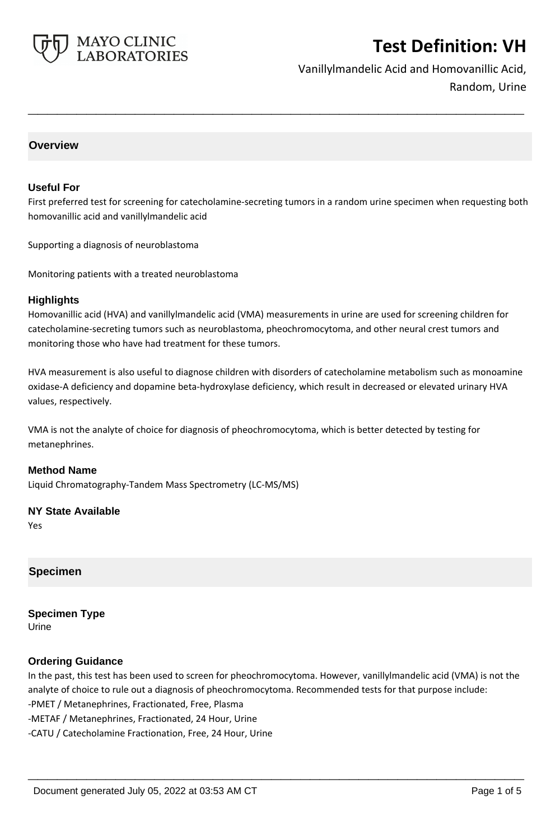

Vanillylmandelic Acid and Homovanillic Acid, Random, Urine

# **Overview**

### **Useful For**

First preferred test for screening for catecholamine-secreting tumors in a random urine specimen when requesting both homovanillic acid and vanillylmandelic acid

**\_\_\_\_\_\_\_\_\_\_\_\_\_\_\_\_\_\_\_\_\_\_\_\_\_\_\_\_\_\_\_\_\_\_\_\_\_\_\_\_\_\_\_\_\_\_\_\_\_\_\_**

Supporting a diagnosis of neuroblastoma

Monitoring patients with a treated neuroblastoma

### **Highlights**

Homovanillic acid (HVA) and vanillylmandelic acid (VMA) measurements in urine are used for screening children for catecholamine-secreting tumors such as neuroblastoma, pheochromocytoma, and other neural crest tumors and monitoring those who have had treatment for these tumors.

HVA measurement is also useful to diagnose children with disorders of catecholamine metabolism such as monoamine oxidase-A deficiency and dopamine beta-hydroxylase deficiency, which result in decreased or elevated urinary HVA values, respectively.

VMA is not the analyte of choice for diagnosis of pheochromocytoma, which is better detected by testing for metanephrines.

### **Method Name**

Liquid Chromatography-Tandem Mass Spectrometry (LC-MS/MS)

### **NY State Available**

Yes

### **Specimen**

**Specimen Type** Urine

### **Ordering Guidance**

In the past, this test has been used to screen for pheochromocytoma. However, vanillylmandelic acid (VMA) is not the analyte of choice to rule out a diagnosis of pheochromocytoma. Recommended tests for that purpose include: -PMET / Metanephrines, Fractionated, Free, Plasma -METAF / Metanephrines, Fractionated, 24 Hour, Urine -CATU / Catecholamine Fractionation, Free, 24 Hour, Urine

**\_\_\_\_\_\_\_\_\_\_\_\_\_\_\_\_\_\_\_\_\_\_\_\_\_\_\_\_\_\_\_\_\_\_\_\_\_\_\_\_\_\_\_\_\_\_\_\_\_\_\_**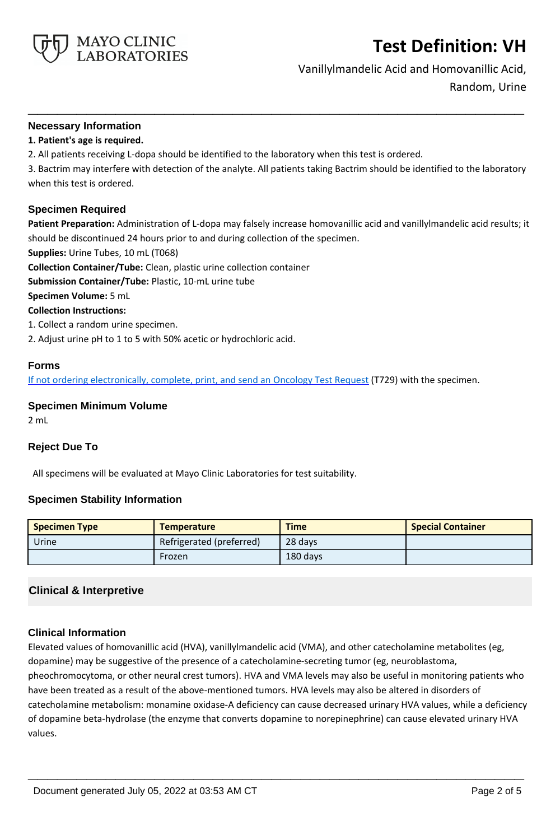

Vanillylmandelic Acid and Homovanillic Acid,

Random, Urine

## **Necessary Information**

## **1. Patient's age is required.**

2. All patients receiving L-dopa should be identified to the laboratory when this test is ordered.

3. Bactrim may interfere with detection of the analyte. All patients taking Bactrim should be identified to the laboratory when this test is ordered.

**\_\_\_\_\_\_\_\_\_\_\_\_\_\_\_\_\_\_\_\_\_\_\_\_\_\_\_\_\_\_\_\_\_\_\_\_\_\_\_\_\_\_\_\_\_\_\_\_\_\_\_**

### **Specimen Required**

**Patient Preparation:** Administration of L-dopa may falsely increase homovanillic acid and vanillylmandelic acid results; it should be discontinued 24 hours prior to and during collection of the specimen.

**Supplies:** Urine Tubes, 10 mL (T068)

**Collection Container/Tube:** Clean, plastic urine collection container

**Submission Container/Tube:** Plastic, 10-mL urine tube

**Specimen Volume:** 5 mL

**Collection Instructions:**

1. Collect a random urine specimen.

2. Adjust urine pH to 1 to 5 with 50% acetic or hydrochloric acid.

## **Forms**

If not ordering electronically, complete, print, and send an [Oncology Test Request](https://www.mayocliniclabs.com/it-mmfiles/oncology-request-form.pdf) (T729) with the specimen.

## **Specimen Minimum Volume**

2 mL

## **Reject Due To**

All specimens will be evaluated at Mayo Clinic Laboratories for test suitability.

## **Specimen Stability Information**

| <b>Specimen Type</b> | <b>Temperature</b>       | <b>Time</b> | <b>Special Container</b> |
|----------------------|--------------------------|-------------|--------------------------|
| Urine                | Refrigerated (preferred) | 28 days     |                          |
|                      | Frozen                   | 180 days    |                          |

# **Clinical & Interpretive**

## **Clinical Information**

Elevated values of homovanillic acid (HVA), vanillylmandelic acid (VMA), and other catecholamine metabolites (eg, dopamine) may be suggestive of the presence of a catecholamine-secreting tumor (eg, neuroblastoma, pheochromocytoma, or other neural crest tumors). HVA and VMA levels may also be useful in monitoring patients who have been treated as a result of the above-mentioned tumors. HVA levels may also be altered in disorders of catecholamine metabolism: monamine oxidase-A deficiency can cause decreased urinary HVA values, while a deficiency of dopamine beta-hydrolase (the enzyme that converts dopamine to norepinephrine) can cause elevated urinary HVA values.

**\_\_\_\_\_\_\_\_\_\_\_\_\_\_\_\_\_\_\_\_\_\_\_\_\_\_\_\_\_\_\_\_\_\_\_\_\_\_\_\_\_\_\_\_\_\_\_\_\_\_\_**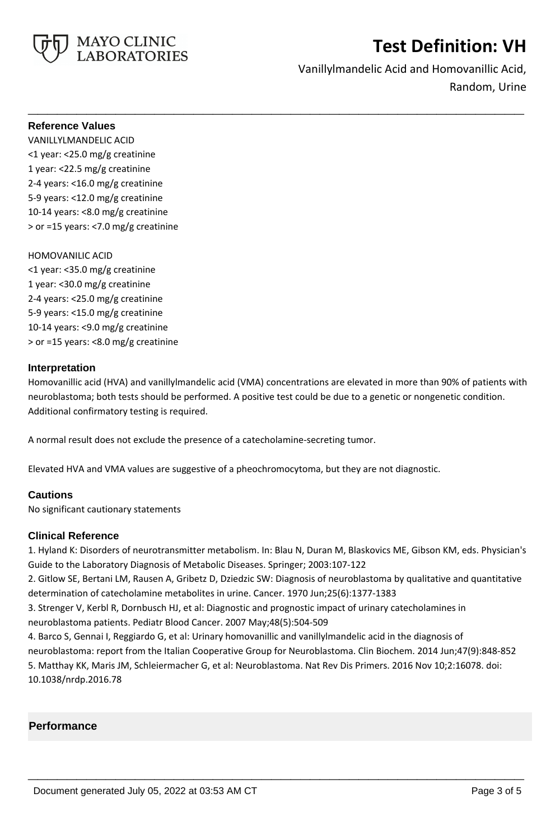

Vanillylmandelic Acid and Homovanillic Acid, Random, Urine

### **Reference Values**

VANILLYLMANDELIC ACID <1 year: <25.0 mg/g creatinine 1 year: <22.5 mg/g creatinine 2-4 years: <16.0 mg/g creatinine 5-9 years: <12.0 mg/g creatinine 10-14 years: <8.0 mg/g creatinine > or =15 years: <7.0 mg/g creatinine

### HOMOVANILIC ACID

<1 year: <35.0 mg/g creatinine 1 year: <30.0 mg/g creatinine 2-4 years: <25.0 mg/g creatinine 5-9 years: <15.0 mg/g creatinine 10-14 years: <9.0 mg/g creatinine > or =15 years: <8.0 mg/g creatinine

### **Interpretation**

Homovanillic acid (HVA) and vanillylmandelic acid (VMA) concentrations are elevated in more than 90% of patients with neuroblastoma; both tests should be performed. A positive test could be due to a genetic or nongenetic condition. Additional confirmatory testing is required.

**\_\_\_\_\_\_\_\_\_\_\_\_\_\_\_\_\_\_\_\_\_\_\_\_\_\_\_\_\_\_\_\_\_\_\_\_\_\_\_\_\_\_\_\_\_\_\_\_\_\_\_**

A normal result does not exclude the presence of a catecholamine-secreting tumor.

Elevated HVA and VMA values are suggestive of a pheochromocytoma, but they are not diagnostic.

## **Cautions**

No significant cautionary statements

## **Clinical Reference**

1. Hyland K: Disorders of neurotransmitter metabolism. In: Blau N, Duran M, Blaskovics ME, Gibson KM, eds. Physician's Guide to the Laboratory Diagnosis of Metabolic Diseases. Springer; 2003:107-122

2. Gitlow SE, Bertani LM, Rausen A, Gribetz D, Dziedzic SW: Diagnosis of neuroblastoma by qualitative and quantitative determination of catecholamine metabolites in urine. Cancer. 1970 Jun;25(6):1377-1383

3. Strenger V, Kerbl R, Dornbusch HJ, et al: Diagnostic and prognostic impact of urinary catecholamines in neuroblastoma patients. Pediatr Blood Cancer. 2007 May;48(5):504-509

4. Barco S, Gennai I, Reggiardo G, et al: Urinary homovanillic and vanillylmandelic acid in the diagnosis of neuroblastoma: report from the Italian Cooperative Group for Neuroblastoma. Clin Biochem. 2014 Jun;47(9):848-852 5. Matthay KK, Maris JM, Schleiermacher G, et al: Neuroblastoma. Nat Rev Dis Primers. 2016 Nov 10;2:16078. doi: 10.1038/nrdp.2016.78

**\_\_\_\_\_\_\_\_\_\_\_\_\_\_\_\_\_\_\_\_\_\_\_\_\_\_\_\_\_\_\_\_\_\_\_\_\_\_\_\_\_\_\_\_\_\_\_\_\_\_\_**

## **Performance**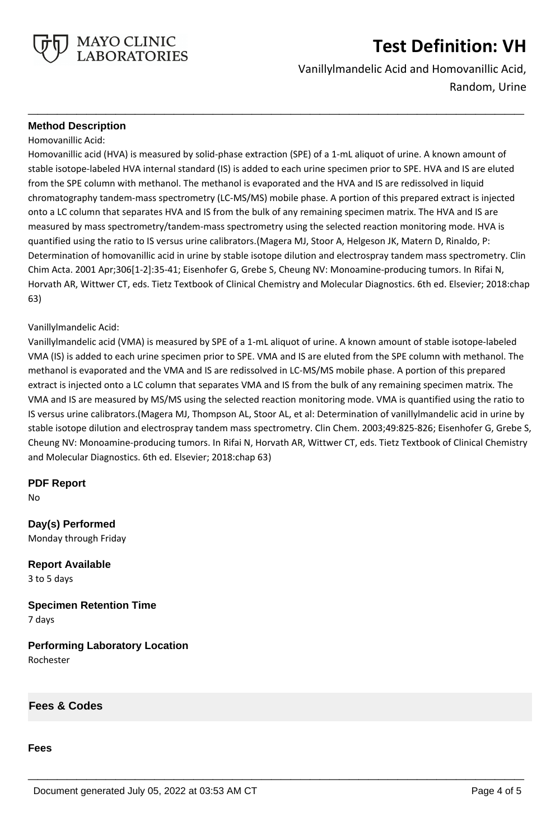

Vanillylmandelic Acid and Homovanillic Acid, Random, Urine

## **Method Description**

Homovanillic Acid:

Homovanillic acid (HVA) is measured by solid-phase extraction (SPE) of a 1-mL aliquot of urine. A known amount of stable isotope-labeled HVA internal standard (IS) is added to each urine specimen prior to SPE. HVA and IS are eluted from the SPE column with methanol. The methanol is evaporated and the HVA and IS are redissolved in liquid chromatography tandem-mass spectrometry (LC-MS/MS) mobile phase. A portion of this prepared extract is injected onto a LC column that separates HVA and IS from the bulk of any remaining specimen matrix. The HVA and IS are measured by mass spectrometry/tandem-mass spectrometry using the selected reaction monitoring mode. HVA is quantified using the ratio to IS versus urine calibrators.(Magera MJ, Stoor A, Helgeson JK, Matern D, Rinaldo, P: Determination of homovanillic acid in urine by stable isotope dilution and electrospray tandem mass spectrometry. Clin Chim Acta. 2001 Apr;306[1-2]:35-41; Eisenhofer G, Grebe S, Cheung NV: Monoamine-producing tumors. In Rifai N, Horvath AR, Wittwer CT, eds. Tietz Textbook of Clinical Chemistry and Molecular Diagnostics. 6th ed. Elsevier; 2018:chap 63)

**\_\_\_\_\_\_\_\_\_\_\_\_\_\_\_\_\_\_\_\_\_\_\_\_\_\_\_\_\_\_\_\_\_\_\_\_\_\_\_\_\_\_\_\_\_\_\_\_\_\_\_**

### Vanillylmandelic Acid:

Vanillylmandelic acid (VMA) is measured by SPE of a 1-mL aliquot of urine. A known amount of stable isotope-labeled VMA (IS) is added to each urine specimen prior to SPE. VMA and IS are eluted from the SPE column with methanol. The methanol is evaporated and the VMA and IS are redissolved in LC-MS/MS mobile phase. A portion of this prepared extract is injected onto a LC column that separates VMA and IS from the bulk of any remaining specimen matrix. The VMA and IS are measured by MS/MS using the selected reaction monitoring mode. VMA is quantified using the ratio to IS versus urine calibrators.(Magera MJ, Thompson AL, Stoor AL, et al: Determination of vanillylmandelic acid in urine by stable isotope dilution and electrospray tandem mass spectrometry. Clin Chem. 2003;49:825-826; Eisenhofer G, Grebe S, Cheung NV: Monoamine-producing tumors. In Rifai N, Horvath AR, Wittwer CT, eds. Tietz Textbook of Clinical Chemistry and Molecular Diagnostics. 6th ed. Elsevier; 2018:chap 63)

**\_\_\_\_\_\_\_\_\_\_\_\_\_\_\_\_\_\_\_\_\_\_\_\_\_\_\_\_\_\_\_\_\_\_\_\_\_\_\_\_\_\_\_\_\_\_\_\_\_\_\_**

## **PDF Report**

No

**Day(s) Performed** Monday through Friday

**Report Available** 3 to 5 days

**Specimen Retention Time** 7 days

**Performing Laboratory Location** Rochester

**Fees & Codes**

### **Fees**